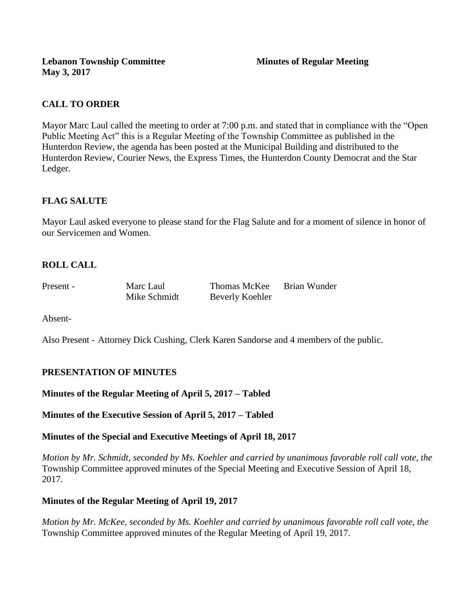# **CALL TO ORDER**

Mayor Marc Laul called the meeting to order at 7:00 p.m. and stated that in compliance with the "Open Public Meeting Act" this is a Regular Meeting of the Township Committee as published in the Hunterdon Review, the agenda has been posted at the Municipal Building and distributed to the Hunterdon Review, Courier News, the Express Times, the Hunterdon County Democrat and the Star Ledger.

# **FLAG SALUTE**

Mayor Laul asked everyone to please stand for the Flag Salute and for a moment of silence in honor of our Servicemen and Women.

# **ROLL CALL**

Present - Marc Laul Thomas McKee Brian Wunder Mike Schmidt Beverly Koehler

Absent-

Also Present - Attorney Dick Cushing, Clerk Karen Sandorse and 4 members of the public.

# **PRESENTATION OF MINUTES**

**Minutes of the Regular Meeting of April 5, 2017 – Tabled**

**Minutes of the Executive Session of April 5, 2017 – Tabled**

# **Minutes of the Special and Executive Meetings of April 18, 2017**

*Motion by Mr. Schmidt, seconded by Ms. Koehler and carried by unanimous favorable roll call vote, the*  Township Committee approved minutes of the Special Meeting and Executive Session of April 18, 2017.

# **Minutes of the Regular Meeting of April 19, 2017**

*Motion by Mr. McKee, seconded by Ms. Koehler and carried by unanimous favorable roll call vote, the*  Township Committee approved minutes of the Regular Meeting of April 19, 2017.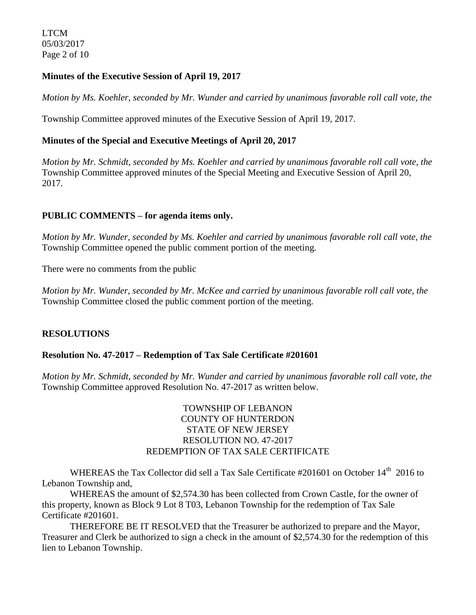LTCM 05/03/2017 Page 2 of 10

## **Minutes of the Executive Session of April 19, 2017**

*Motion by Ms. Koehler, seconded by Mr. Wunder and carried by unanimous favorable roll call vote, the*

Township Committee approved minutes of the Executive Session of April 19, 2017.

## **Minutes of the Special and Executive Meetings of April 20, 2017**

*Motion by Mr. Schmidt, seconded by Ms. Koehler and carried by unanimous favorable roll call vote, the*  Township Committee approved minutes of the Special Meeting and Executive Session of April 20, 2017.

### **PUBLIC COMMENTS – for agenda items only.**

*Motion by Mr. Wunder, seconded by Ms. Koehler and carried by unanimous favorable roll call vote, the* Township Committee opened the public comment portion of the meeting.

There were no comments from the public

*Motion by Mr. Wunder, seconded by Mr. McKee and carried by unanimous favorable roll call vote, the* Township Committee closed the public comment portion of the meeting.

#### **RESOLUTIONS**

#### **Resolution No. 47-2017 – Redemption of Tax Sale Certificate #201601**

*Motion by Mr. Schmidt, seconded by Mr. Wunder and carried by unanimous favorable roll call vote, the* Township Committee approved Resolution No. 47-2017 as written below.

## TOWNSHIP OF LEBANON COUNTY OF HUNTERDON STATE OF NEW JERSEY RESOLUTION NO. 47-2017 REDEMPTION OF TAX SALE CERTIFICATE

WHEREAS the Tax Collector did sell a Tax Sale Certificate #201601 on October 14<sup>th</sup> 2016 to Lebanon Township and,

WHEREAS the amount of \$2,574.30 has been collected from Crown Castle, for the owner of this property, known as Block 9 Lot 8 T03, Lebanon Township for the redemption of Tax Sale Certificate #201601.

THEREFORE BE IT RESOLVED that the Treasurer be authorized to prepare and the Mayor, Treasurer and Clerk be authorized to sign a check in the amount of \$2,574.30 for the redemption of this lien to Lebanon Township.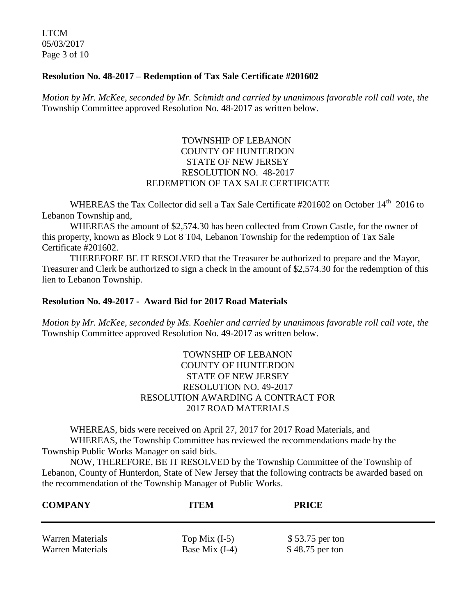LTCM 05/03/2017 Page 3 of 10

#### **Resolution No. 48-2017 – Redemption of Tax Sale Certificate #201602**

*Motion by Mr. McKee, seconded by Mr. Schmidt and carried by unanimous favorable roll call vote, the* Township Committee approved Resolution No. 48-2017 as written below.

## TOWNSHIP OF LEBANON COUNTY OF HUNTERDON STATE OF NEW JERSEY RESOLUTION NO. 48-2017 REDEMPTION OF TAX SALE CERTIFICATE

WHEREAS the Tax Collector did sell a Tax Sale Certificate #201602 on October 14<sup>th</sup> 2016 to Lebanon Township and,

WHEREAS the amount of \$2,574.30 has been collected from Crown Castle, for the owner of this property, known as Block 9 Lot 8 T04, Lebanon Township for the redemption of Tax Sale Certificate #201602.

THEREFORE BE IT RESOLVED that the Treasurer be authorized to prepare and the Mayor, Treasurer and Clerk be authorized to sign a check in the amount of \$2,574.30 for the redemption of this lien to Lebanon Township.

### **Resolution No. 49-2017 - Award Bid for 2017 Road Materials**

*Motion by Mr. McKee, seconded by Ms. Koehler and carried by unanimous favorable roll call vote, the* Township Committee approved Resolution No. 49-2017 as written below.

### TOWNSHIP OF LEBANON COUNTY OF HUNTERDON STATE OF NEW JERSEY RESOLUTION NO. 49-2017 RESOLUTION AWARDING A CONTRACT FOR 2017 ROAD MATERIALS

WHEREAS, bids were received on April 27, 2017 for 2017 Road Materials, and WHEREAS, the Township Committee has reviewed the recommendations made by the Township Public Works Manager on said bids.

NOW, THEREFORE, BE IT RESOLVED by the Township Committee of the Township of Lebanon, County of Hunterdon, State of New Jersey that the following contracts be awarded based on the recommendation of the Township Manager of Public Works.

| <b>COMPANY</b>          | <b>ITEM</b>      | <b>PRICE</b>    |
|-------------------------|------------------|-----------------|
| Warren Materials        | Top Mix $(I-5)$  | \$53.75 per ton |
| <b>Warren Materials</b> | Base Mix $(I-4)$ | \$48.75 per ton |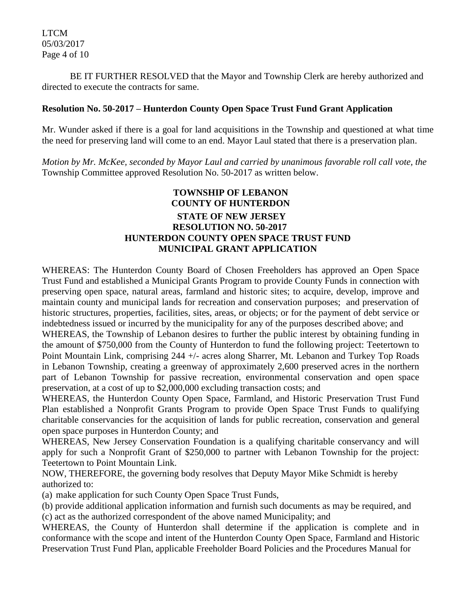BE IT FURTHER RESOLVED that the Mayor and Township Clerk are hereby authorized and directed to execute the contracts for same.

#### **Resolution No. 50-2017 – Hunterdon County Open Space Trust Fund Grant Application**

Mr. Wunder asked if there is a goal for land acquisitions in the Township and questioned at what time the need for preserving land will come to an end. Mayor Laul stated that there is a preservation plan.

*Motion by Mr. McKee, seconded by Mayor Laul and carried by unanimous favorable roll call vote, the* Township Committee approved Resolution No. 50-2017 as written below.

# **TOWNSHIP OF LEBANON COUNTY OF HUNTERDON STATE OF NEW JERSEY RESOLUTION NO. 50-2017 HUNTERDON COUNTY OPEN SPACE TRUST FUND MUNICIPAL GRANT APPLICATION**

WHEREAS: The Hunterdon County Board of Chosen Freeholders has approved an Open Space Trust Fund and established a Municipal Grants Program to provide County Funds in connection with preserving open space, natural areas, farmland and historic sites; to acquire, develop, improve and maintain county and municipal lands for recreation and conservation purposes; and preservation of historic structures, properties, facilities, sites, areas, or objects; or for the payment of debt service or indebtedness issued or incurred by the municipality for any of the purposes described above; and

WHEREAS, the Township of Lebanon desires to further the public interest by obtaining funding in the amount of \$750,000 from the County of Hunterdon to fund the following project: Teetertown to Point Mountain Link, comprising 244 +/- acres along Sharrer, Mt. Lebanon and Turkey Top Roads in Lebanon Township, creating a greenway of approximately 2,600 preserved acres in the northern part of Lebanon Township for passive recreation, environmental conservation and open space preservation, at a cost of up to \$2,000,000 excluding transaction costs; and

WHEREAS, the Hunterdon County Open Space, Farmland, and Historic Preservation Trust Fund Plan established a Nonprofit Grants Program to provide Open Space Trust Funds to qualifying charitable conservancies for the acquisition of lands for public recreation, conservation and general open space purposes in Hunterdon County; and

WHEREAS, New Jersey Conservation Foundation is a qualifying charitable conservancy and will apply for such a Nonprofit Grant of \$250,000 to partner with Lebanon Township for the project: Teetertown to Point Mountain Link.

NOW, THEREFORE, the governing body resolves that Deputy Mayor Mike Schmidt is hereby authorized to:

(a) make application for such County Open Space Trust Funds,

(b) provide additional application information and furnish such documents as may be required, and (c) act as the authorized correspondent of the above named Municipality; and

WHEREAS, the County of Hunterdon shall determine if the application is complete and in conformance with the scope and intent of the Hunterdon County Open Space, Farmland and Historic Preservation Trust Fund Plan, applicable Freeholder Board Policies and the Procedures Manual for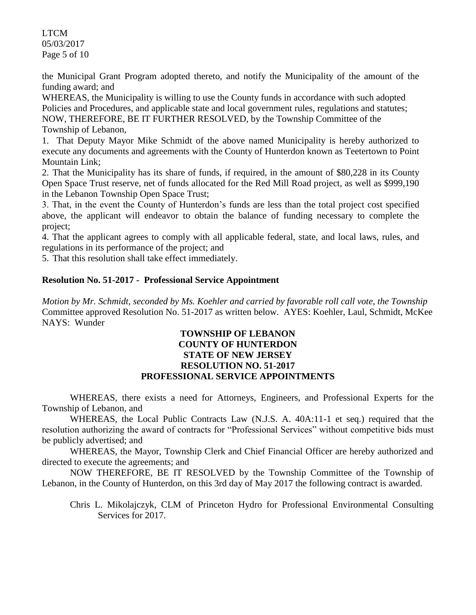LTCM 05/03/2017 Page 5 of 10

the Municipal Grant Program adopted thereto, and notify the Municipality of the amount of the funding award; and

WHEREAS, the Municipality is willing to use the County funds in accordance with such adopted Policies and Procedures, and applicable state and local government rules, regulations and statutes; NOW, THEREFORE, BE IT FURTHER RESOLVED, by the Township Committee of the Township of Lebanon,

1. That Deputy Mayor Mike Schmidt of the above named Municipality is hereby authorized to execute any documents and agreements with the County of Hunterdon known as Teetertown to Point Mountain Link;

2. That the Municipality has its share of funds, if required, in the amount of \$80,228 in its County Open Space Trust reserve, net of funds allocated for the Red Mill Road project, as well as \$999,190 in the Lebanon Township Open Space Trust;

3. That, in the event the County of Hunterdon's funds are less than the total project cost specified above, the applicant will endeavor to obtain the balance of funding necessary to complete the project;

4. That the applicant agrees to comply with all applicable federal, state, and local laws, rules, and regulations in its performance of the project; and

5. That this resolution shall take effect immediately.

# **Resolution No. 51-2017 - Professional Service Appointment**

*Motion by Mr. Schmidt, seconded by Ms. Koehler and carried by favorable roll call vote, the Township* Committee approved Resolution No. 51-2017 as written below. AYES: Koehler, Laul, Schmidt, McKee NAYS: Wunder

### **TOWNSHIP OF LEBANON COUNTY OF HUNTERDON STATE OF NEW JERSEY RESOLUTION NO. 51-2017 PROFESSIONAL SERVICE APPOINTMENTS**

WHEREAS, there exists a need for Attorneys, Engineers, and Professional Experts for the Township of Lebanon, and

WHEREAS, the Local Public Contracts Law (N.J.S. A. 40A:11-1 et seq.) required that the resolution authorizing the award of contracts for "Professional Services" without competitive bids must be publicly advertised; and

WHEREAS, the Mayor, Township Clerk and Chief Financial Officer are hereby authorized and directed to execute the agreements; and

NOW THEREFORE, BE IT RESOLVED by the Township Committee of the Township of Lebanon, in the County of Hunterdon, on this 3rd day of May 2017 the following contract is awarded.

Chris L. Mikolajczyk, CLM of Princeton Hydro for Professional Environmental Consulting Services for 2017.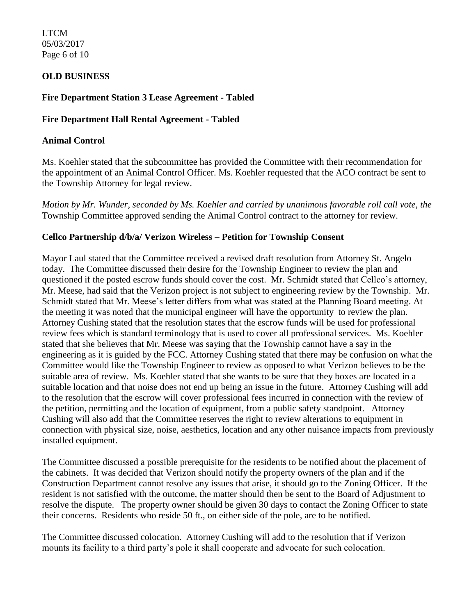LTCM 05/03/2017 Page 6 of 10

## **OLD BUSINESS**

### **Fire Department Station 3 Lease Agreement - Tabled**

#### **Fire Department Hall Rental Agreement - Tabled**

#### **Animal Control**

Ms. Koehler stated that the subcommittee has provided the Committee with their recommendation for the appointment of an Animal Control Officer. Ms. Koehler requested that the ACO contract be sent to the Township Attorney for legal review.

*Motion by Mr. Wunder, seconded by Ms. Koehler and carried by unanimous favorable roll call vote, the* Township Committee approved sending the Animal Control contract to the attorney for review.

#### **Cellco Partnership d/b/a/ Verizon Wireless – Petition for Township Consent**

Mayor Laul stated that the Committee received a revised draft resolution from Attorney St. Angelo today. The Committee discussed their desire for the Township Engineer to review the plan and questioned if the posted escrow funds should cover the cost. Mr. Schmidt stated that Cellco's attorney, Mr. Meese, had said that the Verizon project is not subject to engineering review by the Township. Mr. Schmidt stated that Mr. Meese's letter differs from what was stated at the Planning Board meeting. At the meeting it was noted that the municipal engineer will have the opportunity to review the plan. Attorney Cushing stated that the resolution states that the escrow funds will be used for professional review fees which is standard terminology that is used to cover all professional services. Ms. Koehler stated that she believes that Mr. Meese was saying that the Township cannot have a say in the engineering as it is guided by the FCC. Attorney Cushing stated that there may be confusion on what the Committee would like the Township Engineer to review as opposed to what Verizon believes to be the suitable area of review. Ms. Koehler stated that she wants to be sure that they boxes are located in a suitable location and that noise does not end up being an issue in the future. Attorney Cushing will add to the resolution that the escrow will cover professional fees incurred in connection with the review of the petition, permitting and the location of equipment, from a public safety standpoint. Attorney Cushing will also add that the Committee reserves the right to review alterations to equipment in connection with physical size, noise, aesthetics, location and any other nuisance impacts from previously installed equipment.

The Committee discussed a possible prerequisite for the residents to be notified about the placement of the cabinets. It was decided that Verizon should notify the property owners of the plan and if the Construction Department cannot resolve any issues that arise, it should go to the Zoning Officer. If the resident is not satisfied with the outcome, the matter should then be sent to the Board of Adjustment to resolve the dispute. The property owner should be given 30 days to contact the Zoning Officer to state their concerns. Residents who reside 50 ft., on either side of the pole, are to be notified.

The Committee discussed colocation. Attorney Cushing will add to the resolution that if Verizon mounts its facility to a third party's pole it shall cooperate and advocate for such colocation.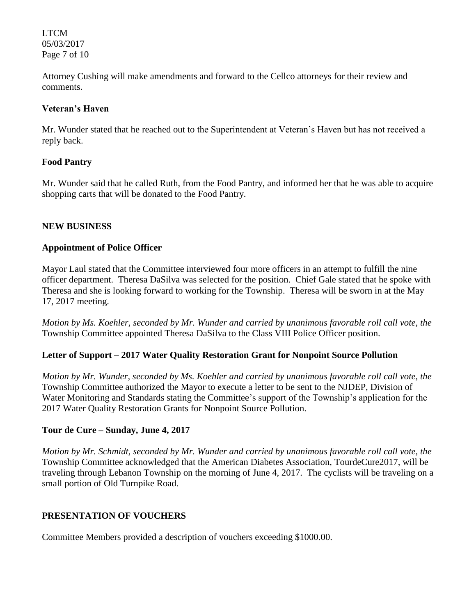LTCM 05/03/2017 Page 7 of 10

Attorney Cushing will make amendments and forward to the Cellco attorneys for their review and comments.

### **Veteran's Haven**

Mr. Wunder stated that he reached out to the Superintendent at Veteran's Haven but has not received a reply back.

# **Food Pantry**

Mr. Wunder said that he called Ruth, from the Food Pantry, and informed her that he was able to acquire shopping carts that will be donated to the Food Pantry.

### **NEW BUSINESS**

### **Appointment of Police Officer**

Mayor Laul stated that the Committee interviewed four more officers in an attempt to fulfill the nine officer department. Theresa DaSilva was selected for the position. Chief Gale stated that he spoke with Theresa and she is looking forward to working for the Township. Theresa will be sworn in at the May 17, 2017 meeting.

*Motion by Ms. Koehler, seconded by Mr. Wunder and carried by unanimous favorable roll call vote, the* Township Committee appointed Theresa DaSilva to the Class VIII Police Officer position.

# **Letter of Support – 2017 Water Quality Restoration Grant for Nonpoint Source Pollution**

*Motion by Mr. Wunder, seconded by Ms. Koehler and carried by unanimous favorable roll call vote, the* Township Committee authorized the Mayor to execute a letter to be sent to the NJDEP, Division of Water Monitoring and Standards stating the Committee's support of the Township's application for the 2017 Water Quality Restoration Grants for Nonpoint Source Pollution.

#### **Tour de Cure – Sunday, June 4, 2017**

*Motion by Mr. Schmidt, seconded by Mr. Wunder and carried by unanimous favorable roll call vote, the* Township Committee acknowledged that the American Diabetes Association, TourdeCure2017, will be traveling through Lebanon Township on the morning of June 4, 2017. The cyclists will be traveling on a small portion of Old Turnpike Road.

# **PRESENTATION OF VOUCHERS**

Committee Members provided a description of vouchers exceeding \$1000.00.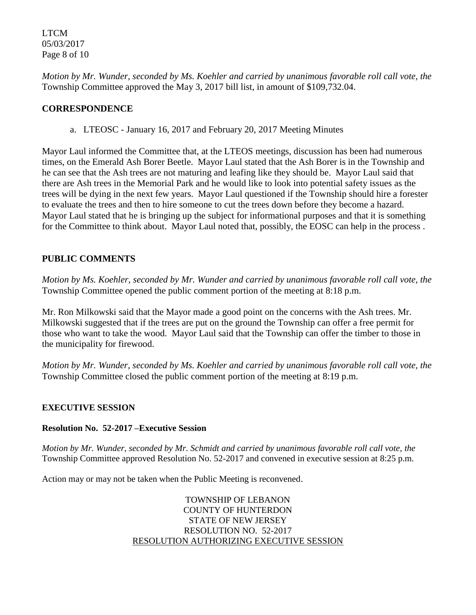LTCM 05/03/2017 Page 8 of 10

*Motion by Mr. Wunder, seconded by Ms. Koehler and carried by unanimous favorable roll call vote, the* Township Committee approved the May 3, 2017 bill list, in amount of \$109,732.04.

## **CORRESPONDENCE**

a. LTEOSC - January 16, 2017 and February 20, 2017 Meeting Minutes

Mayor Laul informed the Committee that, at the LTEOS meetings, discussion has been had numerous times, on the Emerald Ash Borer Beetle. Mayor Laul stated that the Ash Borer is in the Township and he can see that the Ash trees are not maturing and leafing like they should be. Mayor Laul said that there are Ash trees in the Memorial Park and he would like to look into potential safety issues as the trees will be dying in the next few years. Mayor Laul questioned if the Township should hire a forester to evaluate the trees and then to hire someone to cut the trees down before they become a hazard. Mayor Laul stated that he is bringing up the subject for informational purposes and that it is something for the Committee to think about. Mayor Laul noted that, possibly, the EOSC can help in the process .

# **PUBLIC COMMENTS**

*Motion by Ms. Koehler, seconded by Mr. Wunder and carried by unanimous favorable roll call vote, the* Township Committee opened the public comment portion of the meeting at 8:18 p.m.

Mr. Ron Milkowski said that the Mayor made a good point on the concerns with the Ash trees. Mr. Milkowski suggested that if the trees are put on the ground the Township can offer a free permit for those who want to take the wood. Mayor Laul said that the Township can offer the timber to those in the municipality for firewood.

*Motion by Mr. Wunder, seconded by Ms. Koehler and carried by unanimous favorable roll call vote, the* Township Committee closed the public comment portion of the meeting at 8:19 p.m.

#### **EXECUTIVE SESSION**

#### **Resolution No. 52-2017 –Executive Session**

*Motion by Mr. Wunder, seconded by Mr. Schmidt and carried by unanimous favorable roll call vote, the* Township Committee approved Resolution No. 52-2017 and convened in executive session at 8:25 p.m.

Action may or may not be taken when the Public Meeting is reconvened.

TOWNSHIP OF LEBANON COUNTY OF HUNTERDON STATE OF NEW JERSEY RESOLUTION NO. 52-2017 RESOLUTION AUTHORIZING EXECUTIVE SESSION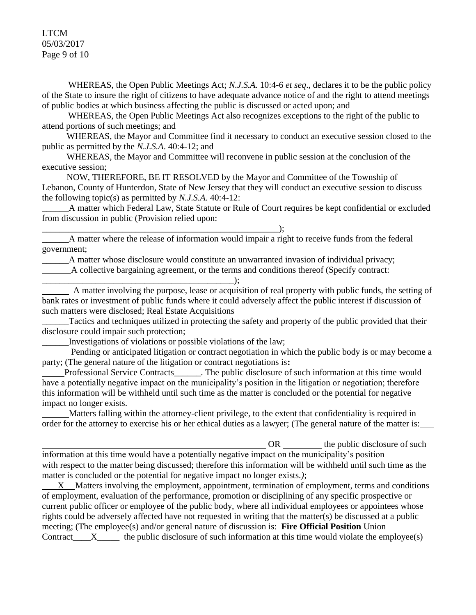LTCM 05/03/2017 Page 9 of 10

WHEREAS, the Open Public Meetings Act; *N.J.S.A.* 10:4-6 *et seq*., declares it to be the public policy of the State to insure the right of citizens to have adequate advance notice of and the right to attend meetings of public bodies at which business affecting the public is discussed or acted upon; and

WHEREAS, the Open Public Meetings Act also recognizes exceptions to the right of the public to attend portions of such meetings; and

 WHEREAS, the Mayor and Committee find it necessary to conduct an executive session closed to the public as permitted by the *N.J.S.A*. 40:4-12; and

 WHEREAS, the Mayor and Committee will reconvene in public session at the conclusion of the executive session;

 NOW, THEREFORE, BE IT RESOLVED by the Mayor and Committee of the Township of Lebanon, County of Hunterdon, State of New Jersey that they will conduct an executive session to discuss the following topic(s) as permitted by *N.J.S.A*. 40:4-12:

\_\_\_\_\_\_A matter which Federal Law, State Statute or Rule of Court requires be kept confidential or excluded from discussion in public (Provision relied upon:

\_\_\_\_\_\_A matter where the release of information would impair a right to receive funds from the federal government;

\_\_\_\_\_\_A matter whose disclosure would constitute an unwarranted invasion of individual privacy;

A collective bargaining agreement, or the terms and conditions thereof (Specify contract:

A matter involving the purpose, lease or acquisition of real property with public funds, the setting of bank rates or investment of public funds where it could adversely affect the public interest if discussion of such matters were disclosed; Real Estate Acquisitions

Tactics and techniques utilized in protecting the safety and property of the public provided that their disclosure could impair such protection;

\_\_\_\_\_\_Investigations of violations or possible violations of the law;

\_\_\_\_\_\_\_\_\_\_\_\_\_\_\_\_\_\_\_\_\_\_\_\_\_\_\_\_\_\_\_\_\_\_\_\_\_\_\_\_\_\_\_\_\_\_\_\_\_\_\_\_\_);

\_\_\_\_\_\_\_\_\_\_\_\_\_\_\_\_\_\_\_\_\_\_\_\_\_\_\_\_\_\_\_\_\_\_\_\_\_\_\_\_\_\_\_);

 Pending or anticipated litigation or contract negotiation in which the public body is or may become a party; (The general nature of the litigation or contract negotiations is**:** 

Professional Service Contracts\_\_\_\_\_\_. The public disclosure of such information at this time would have a potentially negative impact on the municipality's position in the litigation or negotiation; therefore this information will be withheld until such time as the matter is concluded or the potential for negative impact no longer exists.

 Matters falling within the attorney-client privilege, to the extent that confidentiality is required in order for the attorney to exercise his or her ethical duties as a lawyer; (The general nature of the matter is:

| OR                                                                                                             | the public disclosure of such |  |  |
|----------------------------------------------------------------------------------------------------------------|-------------------------------|--|--|
| information at this time would have a potentially negative impact on the municipality's position               |                               |  |  |
| with respect to the matter being discussed; therefore this information will be withheld until such time as the |                               |  |  |
| matter is concluded or the potential for negative impact no longer exists.);                                   |                               |  |  |
| X Matters involving the employment, appointment, termination of employment, terms and conditions               |                               |  |  |
| of employment, evaluation of the performance, promotion or disciplining of any specific prospective or         |                               |  |  |
| current public officer or employee of the public body, where all individual employees or appointees whose      |                               |  |  |
| rights could be adversely affected have not requested in writing that the matter(s) be discussed at a public   |                               |  |  |
| meeting; (The employee(s) and/or general nature of discussion is: Fire Official Position Union                 |                               |  |  |

Contract\_\_\_\_X\_\_\_\_\_ the public disclosure of such information at this time would violate the employee(s)